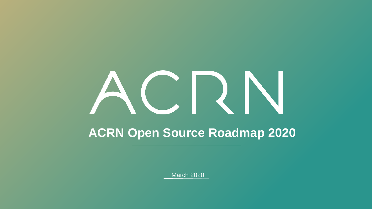# ACRN **ACRN Open Source Roadmap 2020**

March 2020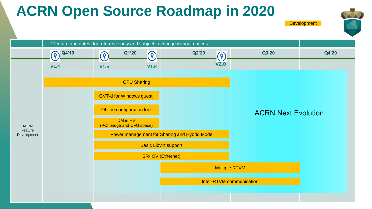### **ACRN Open Source Roadmap in 2020**





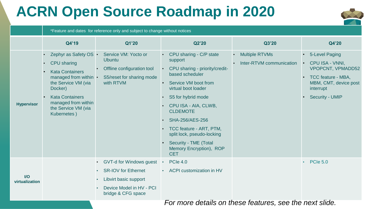## **ACRN Open Source Roadmap in 2020**



#### \*Feature and dates for reference only and subject to change without notices

|                                                         | Q4'19                                                                                                                                                                                                            | Q1'20                                                                                                                            | Q2'20                                                                                                                                                                                                                                                                                                                                                 | Q3'20                                                          | Q4'20                                                                                                                                        |
|---------------------------------------------------------|------------------------------------------------------------------------------------------------------------------------------------------------------------------------------------------------------------------|----------------------------------------------------------------------------------------------------------------------------------|-------------------------------------------------------------------------------------------------------------------------------------------------------------------------------------------------------------------------------------------------------------------------------------------------------------------------------------------------------|----------------------------------------------------------------|----------------------------------------------------------------------------------------------------------------------------------------------|
| <b>Hypervisor</b>                                       | Zephyr as Safety OS •<br>CPU sharing<br><b>Kata Containers</b><br>managed from within •<br>the Service VM (via<br>Docker)<br><b>Kata Containers</b><br>managed from within<br>the Service VM (via<br>Kubernetes) | Service VM: Yocto or<br><b>Ubuntu</b><br>Offline configuration tool<br>S5/reset for sharing mode<br>with RTVM                    | CPU sharing - C/P state<br>support<br>CPU sharing - priority/credit-<br>based scheduler<br>Service VM boot from<br>virtual boot loader<br>S5 for hybrid mode<br>CPU ISA - AIA, CLWB,<br><b>CLDEMOTE</b><br>SHA-256/AES-256<br>TCC feature - ART, PTM,<br>split lock, pseudo-locking<br>Security - TME (Total<br>Memory Encryption), ROP<br><b>CET</b> | <b>Multiple RTVMs</b><br>$\bullet$<br>Inter-RTVM communication | 5-Level Paging<br>CPU ISA - VNNI.<br><b>VPOPCNT, VPMADD52</b><br>TCC feature - MBA,<br>MBM, CMT, device post<br>interrupt<br>Security - UMIP |
| $U$<br>virtualization                                   |                                                                                                                                                                                                                  | GVT-d for Windows guest<br><b>SR-IOV for Ethernet</b><br>Libvirt basic support<br>Device Model in HV - PCI<br>bridge & CFG space | <b>PCIe 4.0</b><br>$\bullet$<br>ACPI customization in HV                                                                                                                                                                                                                                                                                              |                                                                | <b>PCIe 5.0</b><br>$\bullet$                                                                                                                 |
| For more details on these features, see the next slide. |                                                                                                                                                                                                                  |                                                                                                                                  |                                                                                                                                                                                                                                                                                                                                                       |                                                                |                                                                                                                                              |